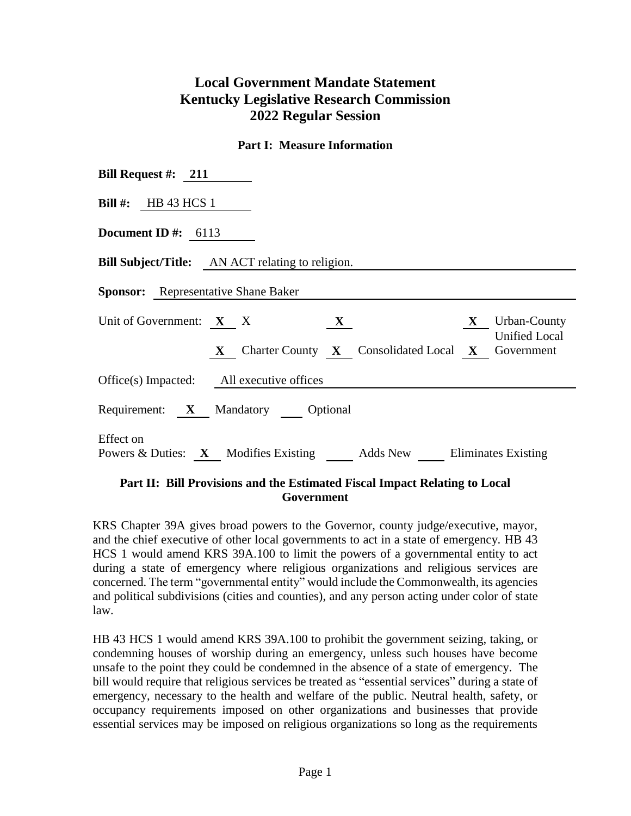## **Local Government Mandate Statement Kentucky Legislative Research Commission 2022 Regular Session**

## **Part I: Measure Information**

| Bill Request #: $211$                                                                        |  |  |  |  |  |  |  |
|----------------------------------------------------------------------------------------------|--|--|--|--|--|--|--|
| Bill #: HB 43 HCS 1                                                                          |  |  |  |  |  |  |  |
| Document ID #: $6113$                                                                        |  |  |  |  |  |  |  |
| <b>Bill Subject/Title:</b> AN ACT relating to religion.                                      |  |  |  |  |  |  |  |
| <b>Sponsor:</b> Representative Shane Baker                                                   |  |  |  |  |  |  |  |
| Unit of Government: $X \times X$<br>$X$ Urban-County<br>$\mathbf{X}$<br><b>Unified Local</b> |  |  |  |  |  |  |  |
| X Charter County X Consolidated Local X Government                                           |  |  |  |  |  |  |  |
| Office(s) Impacted: All executive offices                                                    |  |  |  |  |  |  |  |
| Requirement: X Mandatory Optional                                                            |  |  |  |  |  |  |  |
| Effect on<br>Powers & Duties: X Modifies Existing Adds New Eliminates Existing               |  |  |  |  |  |  |  |

## **Part II: Bill Provisions and the Estimated Fiscal Impact Relating to Local Government**

KRS Chapter 39A gives broad powers to the Governor, county judge/executive, mayor, and the chief executive of other local governments to act in a state of emergency. HB 43 HCS 1 would amend KRS 39A.100 to limit the powers of a governmental entity to act during a state of emergency where religious organizations and religious services are concerned. The term "governmental entity" would include the Commonwealth, its agencies and political subdivisions (cities and counties), and any person acting under color of state law.

HB 43 HCS 1 would amend KRS 39A.100 to prohibit the government seizing, taking, or condemning houses of worship during an emergency, unless such houses have become unsafe to the point they could be condemned in the absence of a state of emergency. The bill would require that religious services be treated as "essential services" during a state of emergency, necessary to the health and welfare of the public. Neutral health, safety, or occupancy requirements imposed on other organizations and businesses that provide essential services may be imposed on religious organizations so long as the requirements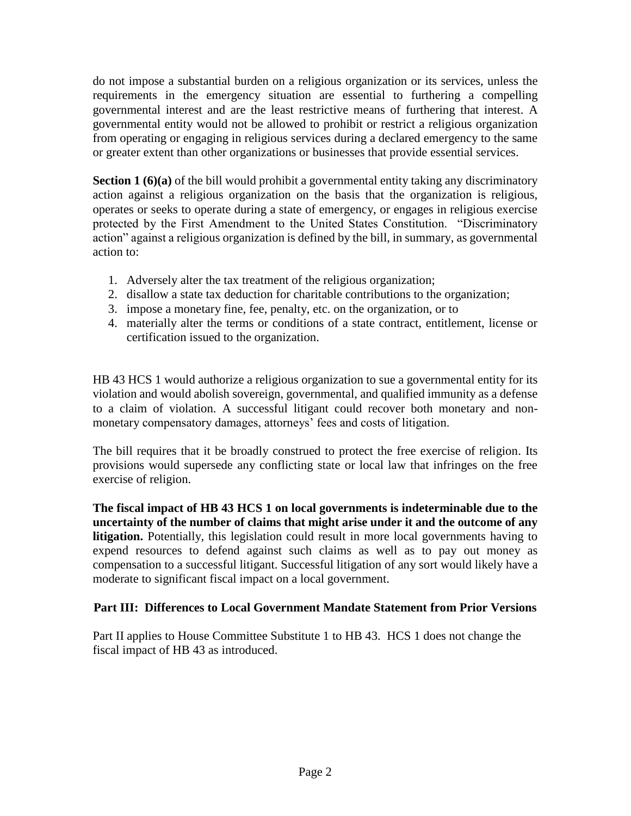do not impose a substantial burden on a religious organization or its services, unless the requirements in the emergency situation are essential to furthering a compelling governmental interest and are the least restrictive means of furthering that interest. A governmental entity would not be allowed to prohibit or restrict a religious organization from operating or engaging in religious services during a declared emergency to the same or greater extent than other organizations or businesses that provide essential services.

**Section 1 (6)(a)** of the bill would prohibit a governmental entity taking any discriminatory action against a religious organization on the basis that the organization is religious, operates or seeks to operate during a state of emergency, or engages in religious exercise protected by the First Amendment to the United States Constitution. "Discriminatory action" against a religious organization is defined by the bill, in summary, as governmental action to:

- 1. Adversely alter the tax treatment of the religious organization;
- 2. disallow a state tax deduction for charitable contributions to the organization;
- 3. impose a monetary fine, fee, penalty, etc. on the organization, or to
- 4. materially alter the terms or conditions of a state contract, entitlement, license or certification issued to the organization.

HB 43 HCS 1 would authorize a religious organization to sue a governmental entity for its violation and would abolish sovereign, governmental, and qualified immunity as a defense to a claim of violation. A successful litigant could recover both monetary and nonmonetary compensatory damages, attorneys' fees and costs of litigation.

The bill requires that it be broadly construed to protect the free exercise of religion. Its provisions would supersede any conflicting state or local law that infringes on the free exercise of religion.

**The fiscal impact of HB 43 HCS 1 on local governments is indeterminable due to the uncertainty of the number of claims that might arise under it and the outcome of any litigation.** Potentially, this legislation could result in more local governments having to expend resources to defend against such claims as well as to pay out money as compensation to a successful litigant. Successful litigation of any sort would likely have a moderate to significant fiscal impact on a local government.

## **Part III: Differences to Local Government Mandate Statement from Prior Versions**

Part II applies to House Committee Substitute 1 to HB 43. HCS 1 does not change the fiscal impact of HB 43 as introduced.